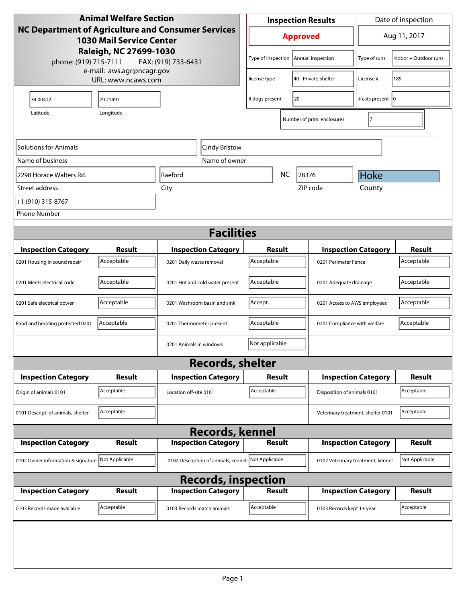| <b>Animal Welfare Section</b>                                                         |                                        |                                     | <b>Inspection Results</b>       |                      |                            |                                                  | Date of inspection          |                            |                             |
|---------------------------------------------------------------------------------------|----------------------------------------|-------------------------------------|---------------------------------|----------------------|----------------------------|--------------------------------------------------|-----------------------------|----------------------------|-----------------------------|
| NC Department of Agriculture and Consumer Services<br><b>1030 Mail Service Center</b> |                                        |                                     | <b>Approved</b>                 |                      |                            |                                                  | Aug 11, 2017                |                            |                             |
| Raleigh, NC 27699-1030<br>phone: (919) 715-7111<br>FAX: (919) 733-6431                |                                        |                                     | Type of inspection              |                      |                            | Annual inspection                                | Type of runs                | Indoor + Outdoor runs      |                             |
| e-mail: aws.agr@ncagr.gov<br>URL: www.ncaws.com                                       |                                        |                                     | license type                    |                      | 40 - Private Shelter       | License #                                        | 189                         |                            |                             |
| 34.00412                                                                              | 79.21497                               |                                     |                                 | # dogs present<br>20 |                            |                                                  | # cats present   0          |                            |                             |
| Latitude<br>Longitude                                                                 |                                        |                                     |                                 |                      | Number of prim. enclosures | $\overline{7}$                                   |                             |                            |                             |
| Solutions for Animals                                                                 | Cindy Bristow                          |                                     |                                 |                      |                            |                                                  |                             |                            |                             |
| Name of business                                                                      |                                        |                                     | Name of owner                   |                      |                            |                                                  |                             |                            |                             |
| 2298 Horace Walters Rd.                                                               |                                        | Raeford                             |                                 |                      | <b>NC</b>                  | 28376                                            |                             | Hoke                       |                             |
| Street address                                                                        |                                        | City                                |                                 |                      |                            |                                                  | ZIP code                    | County                     |                             |
| +1 (910) 315-8767                                                                     |                                        |                                     |                                 |                      |                            |                                                  |                             |                            |                             |
| <b>Phone Number</b>                                                                   |                                        |                                     |                                 |                      |                            |                                                  |                             |                            |                             |
|                                                                                       |                                        |                                     | <b>Facilities</b>               |                      |                            |                                                  |                             |                            |                             |
|                                                                                       |                                        |                                     |                                 |                      |                            |                                                  |                             |                            |                             |
| <b>Inspection Category</b>                                                            | <b>Result</b><br>Acceptable            |                                     | <b>Inspection Category</b>      | Result<br>Acceptable |                            |                                                  | <b>Inspection Category</b>  |                            | <b>Result</b><br>Acceptable |
| 0201 Housing in sound repair                                                          |                                        | 0201 Daily waste removal            |                                 |                      |                            |                                                  | 0201 Perimeter Fence        |                            |                             |
| 0201 Meets electrical code                                                            | Acceptable                             |                                     | 0201 Hot and cold water present | Acceptable           |                            |                                                  | 0201 Adequate drainage      |                            | Acceptable                  |
| 0201 Safe electrical power                                                            | Acceptable                             | 0201 Washroom basin and sink        |                                 | Accept.              |                            | 0201 Access to AWS employees                     |                             | Acceptable                 |                             |
| Food and bedding protected 0201                                                       | Acceptable<br>0201 Thermometer present |                                     |                                 | Acceptable           |                            | 0201 Compliance with welfare                     |                             | Acceptable                 |                             |
|                                                                                       |                                        | 0201 Animals in windows             |                                 | Not applicable       |                            |                                                  |                             |                            |                             |
|                                                                                       |                                        |                                     | <b>Records, shelter</b>         |                      |                            |                                                  |                             |                            |                             |
| <b>Inspection Category</b>                                                            | Result                                 |                                     | <b>Inspection Category</b>      | <b>Result</b>        |                            |                                                  | <b>Inspection Category</b>  |                            | <b>Result</b>               |
| Origin of animals 0101                                                                | Acceptable                             | Location off-site 0101              |                                 | Acceptable           |                            |                                                  | Disposition of animals 0101 |                            | Acceptable                  |
| 0101 Descript. of animals, shelter                                                    | Acceptable                             |                                     |                                 |                      |                            | Acceptable<br>Veterinary treatment, shelter 0101 |                             |                            |                             |
|                                                                                       |                                        |                                     | <b>Records, kennel</b>          |                      |                            |                                                  |                             |                            |                             |
| <b>Inspection Category</b>                                                            | <b>Result</b>                          |                                     | <b>Inspection Category</b>      |                      | <b>Result</b>              |                                                  | <b>Inspection Category</b>  | <b>Result</b>              |                             |
| 0102 Owner information & signature Not Applicable                                     |                                        | 0102 Description of animals, kennel |                                 | Not Applicable       |                            | 0102 Veterinary treatment, kennel                | Not Applicable              |                            |                             |
| <b>Records, inspection</b>                                                            |                                        |                                     |                                 |                      |                            |                                                  |                             |                            |                             |
| <b>Inspection Category</b>                                                            | <b>Result</b>                          |                                     | <b>Inspection Category</b>      | <b>Result</b>        |                            |                                                  |                             | <b>Inspection Category</b> | <b>Result</b>               |
| 0103 Records made available                                                           | Acceptable                             | 0103 Records match animals          |                                 | Acceptable           |                            |                                                  | 0103 Records kept 1+ year   |                            | Acceptable                  |
|                                                                                       |                                        |                                     |                                 |                      |                            |                                                  |                             |                            |                             |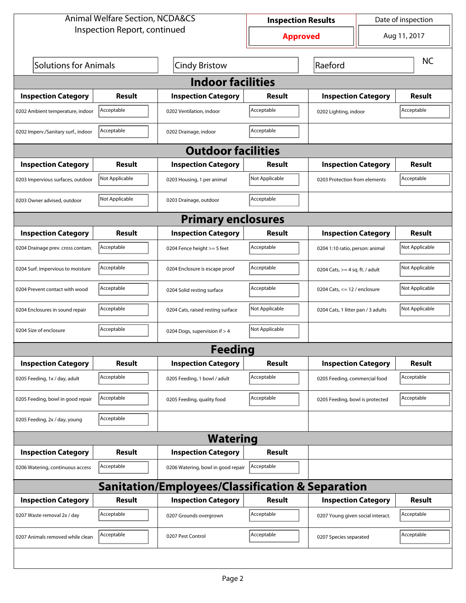| <b>Animal Welfare Section, NCDA&amp;CS</b>                  |                              |                                    | Date of inspection<br><b>Inspection Results</b> |                                    |                            |                |  |
|-------------------------------------------------------------|------------------------------|------------------------------------|-------------------------------------------------|------------------------------------|----------------------------|----------------|--|
|                                                             | Inspection Report, continued |                                    |                                                 | <b>Approved</b>                    |                            | Aug 11, 2017   |  |
| <b>Solutions for Animals</b>                                |                              | <b>Cindy Bristow</b>               | Raeford                                         |                                    |                            | <b>NC</b>      |  |
| <b>Indoor facilities</b>                                    |                              |                                    |                                                 |                                    |                            |                |  |
| <b>Inspection Category</b>                                  | Result                       | <b>Inspection Category</b>         | Result                                          | <b>Inspection Category</b>         |                            | Result         |  |
| 0202 Ambient temperature, indoor                            | Acceptable                   | 0202 Ventilation, indoor           | Acceptable                                      | 0202 Lighting, indoor              |                            | Acceptable     |  |
| 0202 Imperv./Sanitary surf., indoor                         | Acceptable                   | 0202 Drainage, indoor              | Acceptable                                      |                                    |                            |                |  |
| <b>Outdoor facilities</b>                                   |                              |                                    |                                                 |                                    |                            |                |  |
| <b>Inspection Category</b>                                  | Result                       | <b>Inspection Category</b>         | Result                                          |                                    | <b>Inspection Category</b> |                |  |
| 0203 Impervious surfaces, outdoor                           | Not Applicable               | 0203 Housing, 1 per animal         | Not Applicable                                  | 0203 Protection from elements      |                            | Acceptable     |  |
| 0203 Owner advised, outdoor                                 | Not Applicable               | 0203 Drainage, outdoor             | Acceptable                                      |                                    |                            |                |  |
|                                                             |                              | <b>Primary enclosures</b>          |                                                 |                                    |                            |                |  |
| <b>Inspection Category</b>                                  | Result                       | <b>Inspection Category</b>         | <b>Result</b>                                   | <b>Inspection Category</b>         |                            | <b>Result</b>  |  |
| 0204 Drainage prev. cross contam.                           | Acceptable                   | 0204 Fence height >= 5 feet        | Acceptable                                      | 0204 1:10 ratio, person: animal    |                            | Not Applicable |  |
| 0204 Surf. impervious to moisture                           | Acceptable                   | 0204 Enclosure is escape proof     | Acceptable                                      | 0204 Cats, $>=$ 4 sq. ft. / adult  |                            | Not Applicable |  |
| 0204 Prevent contact with wood                              | Acceptable                   | 0204 Solid resting surface         | Acceptable                                      | 0204 Cats, $<= 12$ / enclosure     |                            | Not Applicable |  |
| 0204 Enclosures in sound repair                             | Acceptable                   | 0204 Cats, raised resting surface  | Not Applicable                                  | 0204 Cats, 1 litter pan / 3 adults |                            | Not Applicable |  |
| 0204 Size of enclosure                                      | Acceptable                   | 0204 Dogs, supervision if > 4      | Not Applicable                                  |                                    |                            |                |  |
|                                                             |                              | <b>Feeding</b>                     |                                                 |                                    |                            |                |  |
| <b>Inspection Category</b>                                  | <b>Result</b>                | <b>Inspection Category</b>         | <b>Result</b>                                   | <b>Inspection Category</b>         |                            | <b>Result</b>  |  |
| 0205 Feeding, 1x / day, adult                               | Acceptable                   | 0205 Feeding, 1 bowl / adult       | Acceptable                                      | 0205 Feeding, commercial food      |                            | Acceptable     |  |
| 0205 Feeding, bowl in good repair                           | Acceptable                   | 0205 Feeding, quality food         | Acceptable                                      | 0205 Feeding, bowl is protected    |                            | Acceptable     |  |
| 0205 Feeding, 2x / day, young                               | Acceptable                   |                                    |                                                 |                                    |                            |                |  |
|                                                             |                              | <b>Watering</b>                    |                                                 |                                    |                            |                |  |
| <b>Inspection Category</b>                                  | <b>Result</b>                | <b>Inspection Category</b>         | <b>Result</b>                                   |                                    |                            |                |  |
| 0206 Watering, continuous access                            | Acceptable                   | 0206 Watering, bowl in good repair | Acceptable                                      |                                    |                            |                |  |
| <b>Sanitation/Employees/Classification &amp; Separation</b> |                              |                                    |                                                 |                                    |                            |                |  |
| <b>Inspection Category</b>                                  | <b>Result</b>                | <b>Inspection Category</b>         | <b>Result</b>                                   | <b>Inspection Category</b>         |                            | <b>Result</b>  |  |
| 0207 Waste removal 2x / day                                 | Acceptable                   | 0207 Grounds overgrown             | Acceptable                                      | 0207 Young given social interact.  |                            | Acceptable     |  |
| 0207 Animals removed while clean                            | Acceptable                   | 0207 Pest Control                  | Acceptable                                      | 0207 Species separated             |                            | Acceptable     |  |
|                                                             |                              |                                    |                                                 |                                    |                            |                |  |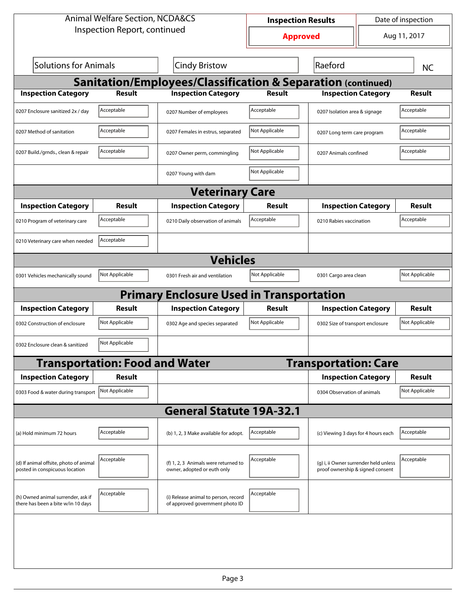| <b>Animal Welfare Section, NCDA&amp;CS</b>                               |                                       |                                                                         | Date of inspection<br><b>Inspection Results</b> |                                                                           |              |                |  |
|--------------------------------------------------------------------------|---------------------------------------|-------------------------------------------------------------------------|-------------------------------------------------|---------------------------------------------------------------------------|--------------|----------------|--|
|                                                                          | Inspection Report, continued          |                                                                         | <b>Approved</b>                                 |                                                                           | Aug 11, 2017 |                |  |
| Solutions for Animals                                                    |                                       | Cindy Bristow                                                           |                                                 | Raeford                                                                   |              | <b>NC</b>      |  |
| <b>Sanitation/Employees/Classification &amp; Separation (continued)</b>  |                                       |                                                                         |                                                 |                                                                           |              |                |  |
| <b>Inspection Category</b>                                               | <b>Result</b>                         | <b>Inspection Category</b>                                              | <b>Result</b>                                   | <b>Inspection Category</b>                                                |              | <b>Result</b>  |  |
| 0207 Enclosure sanitized 2x / day                                        | Acceptable                            | 0207 Number of employees                                                | Acceptable                                      | 0207 Isolation area & signage                                             |              | Acceptable     |  |
| 0207 Method of sanitation                                                | Acceptable                            | 0207 Females in estrus, separated                                       | Not Applicable                                  | 0207 Long term care program                                               |              | Acceptable     |  |
| 0207 Build./grnds., clean & repair                                       | Acceptable                            | 0207 Owner perm, commingling                                            | Not Applicable                                  | 0207 Animals confined                                                     |              | Acceptable     |  |
|                                                                          |                                       | 0207 Young with dam                                                     | Not Applicable                                  |                                                                           |              |                |  |
|                                                                          |                                       | <b>Veterinary Care</b>                                                  |                                                 |                                                                           |              |                |  |
| <b>Inspection Category</b>                                               | Result                                | <b>Inspection Category</b>                                              | Result                                          | <b>Inspection Category</b>                                                |              | Result         |  |
| 0210 Program of veterinary care                                          | Acceptable                            | 0210 Daily observation of animals                                       | Acceptable                                      | 0210 Rabies vaccination                                                   |              | Acceptable     |  |
| 0210 Veterinary care when needed                                         | Acceptable                            |                                                                         |                                                 |                                                                           |              |                |  |
|                                                                          |                                       | <b>Vehicles</b>                                                         |                                                 |                                                                           |              |                |  |
| 0301 Vehicles mechanically sound                                         | Not Applicable                        | 0301 Fresh air and ventilation                                          | Not Applicable                                  | 0301 Cargo area clean                                                     |              | Not Applicable |  |
|                                                                          |                                       | <b>Primary Enclosure Used in Transportation</b>                         |                                                 |                                                                           |              |                |  |
| <b>Inspection Category</b>                                               | Result                                | <b>Inspection Category</b>                                              | Result                                          | <b>Inspection Category</b>                                                |              | Result         |  |
| 0302 Construction of enclosure                                           | Not Applicable                        | 0302 Age and species separated                                          | Not Applicable                                  | 0302 Size of transport enclosure                                          |              | Not Applicable |  |
| 0302 Enclosure clean & sanitized                                         | Not Applicable                        |                                                                         |                                                 |                                                                           |              |                |  |
|                                                                          | <b>Transportation: Food and Water</b> |                                                                         |                                                 | <b>Transportation: Care</b>                                               |              |                |  |
| <b>Inspection Category</b>                                               | Result                                |                                                                         |                                                 | <b>Inspection Category</b>                                                |              | <b>Result</b>  |  |
| 0303 Food & water during transport                                       | Not Applicable                        |                                                                         |                                                 | 0304 Observation of animals                                               |              | Not Applicable |  |
|                                                                          |                                       | <b>General Statute 19A-32.1</b>                                         |                                                 |                                                                           |              |                |  |
| (a) Hold minimum 72 hours                                                | Acceptable                            | (b) 1, 2, 3 Make available for adopt.                                   | Acceptable                                      | (c) Viewing 3 days for 4 hours each                                       |              | Acceptable     |  |
| (d) If animal offsite, photo of animal<br>posted in conspicuous location | Acceptable                            | (f) 1, 2, 3 Animals were returned to<br>owner, adopted or euth only     | Acceptable                                      | (g) i, ii Owner surrender held unless<br>proof ownership & signed consent |              | Acceptable     |  |
| (h) Owned animal surrender, ask if<br>there has been a bite w/in 10 days | Acceptable                            | (i) Release animal to person, record<br>of approved government photo ID | Acceptable                                      |                                                                           |              |                |  |
|                                                                          |                                       |                                                                         |                                                 |                                                                           |              |                |  |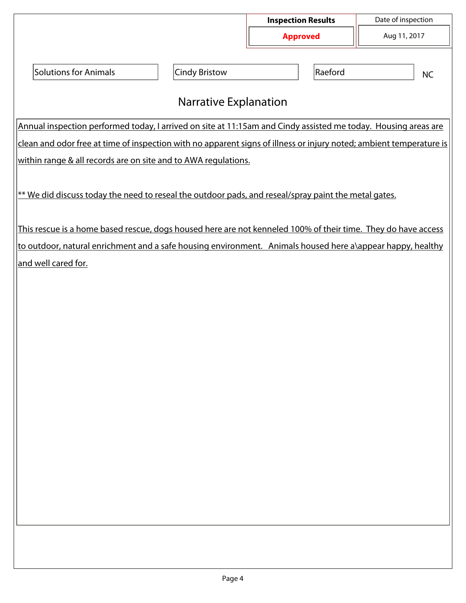|                                                                                                                     |                      | <b>Inspection Results</b> | Date of inspection |  |  |  |  |
|---------------------------------------------------------------------------------------------------------------------|----------------------|---------------------------|--------------------|--|--|--|--|
|                                                                                                                     |                      | <b>Approved</b>           | Aug 11, 2017       |  |  |  |  |
|                                                                                                                     |                      |                           |                    |  |  |  |  |
| <b>Solutions for Animals</b>                                                                                        | <b>Cindy Bristow</b> | Raeford                   | <b>NC</b>          |  |  |  |  |
| <b>Narrative Explanation</b>                                                                                        |                      |                           |                    |  |  |  |  |
| Annual inspection performed today, I arrived on site at 11:15am and Cindy assisted me today. Housing areas are      |                      |                           |                    |  |  |  |  |
| clean and odor free at time of inspection with no apparent signs of illness or injury noted; ambient temperature is |                      |                           |                    |  |  |  |  |
| within range & all records are on site and to AWA regulations.                                                      |                      |                           |                    |  |  |  |  |
| ** We did discuss today the need to reseal the outdoor pads, and reseal/spray paint the metal gates.                |                      |                           |                    |  |  |  |  |
| This rescue is a home based rescue, dogs housed here are not kenneled 100% of their time. They do have access       |                      |                           |                    |  |  |  |  |
| to outdoor, natural enrichment and a safe housing environment. Animals housed here a\appear happy, healthy          |                      |                           |                    |  |  |  |  |
| and well cared for.                                                                                                 |                      |                           |                    |  |  |  |  |
|                                                                                                                     |                      |                           |                    |  |  |  |  |
|                                                                                                                     |                      |                           |                    |  |  |  |  |
|                                                                                                                     |                      |                           |                    |  |  |  |  |
|                                                                                                                     |                      |                           |                    |  |  |  |  |
|                                                                                                                     |                      |                           |                    |  |  |  |  |
|                                                                                                                     |                      |                           |                    |  |  |  |  |